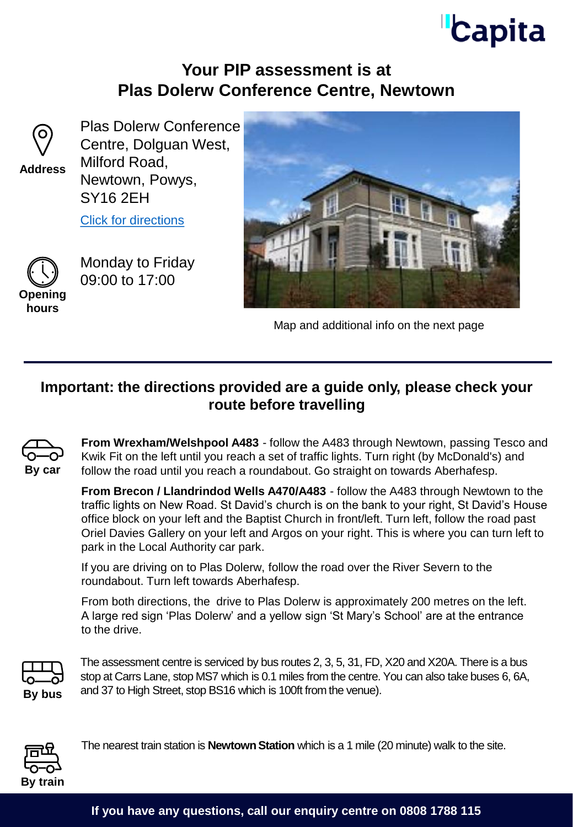## **Capita**

#### **Your PIP assessment is at Plas Dolerw Conference Centre, Newtown**



**Address**

Plas Dolerw Conference Centre, Dolguan West, Milford Road, Newtown, Powys, SY16 2EH

[Click for directions](https://goo.gl/maps/ymt7xC9GyYTw9VH99)



09:00 to 17:00



Monday to Friday



Map and additional info on the next page

#### **Important: the directions provided are a guide only, please check your route before travelling**



**From Wrexham/Welshpool A483** - follow the A483 through Newtown, passing Tesco and Kwik Fit on the left until you reach a set of traffic lights. Turn right (by McDonald's) and follow the road until you reach a roundabout. Go straight on towards Aberhafesp.

**From Brecon / Llandrindod Wells A470/A483** - follow the A483 through Newtown to the traffic lights on New Road. St David's church is on the bank to your right, St David's House office block on your left and the Baptist Church in front/left. Turn left, follow the road past Oriel Davies Gallery on your left and Argos on your right. This is where you can turn left to park in the Local Authority car park.

If you are driving on to Plas Dolerw, follow the road over the River Severn to the roundabout. Turn left towards Aberhafesp.

From both directions, the drive to Plas Dolerw is approximately 200 metres on the left. A large red sign 'Plas Dolerw' and a yellow sign 'St Mary's School' are at the entrance to the drive.



The assessment centre is serviced by bus routes 2, 3, 5, 31, FD, X20 and X20A. There is a bus stop at Carrs Lane, stop MS7 which is 0.1 miles from the centre. You can also take buses 6, 6A, **By bus** and 37 to High Street, stop BS16 which is 100ft from the venue).



The nearest train station is **Newtown Station** which is a 1 mile (20 minute) walk to the site.